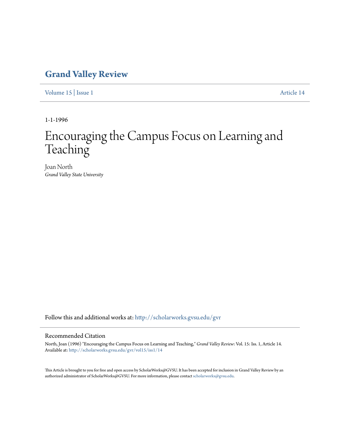# **[Grand Valley Review](http://scholarworks.gvsu.edu/gvr?utm_source=scholarworks.gvsu.edu%2Fgvr%2Fvol15%2Fiss1%2F14&utm_medium=PDF&utm_campaign=PDFCoverPages)**

[Volume 15](http://scholarworks.gvsu.edu/gvr/vol15?utm_source=scholarworks.gvsu.edu%2Fgvr%2Fvol15%2Fiss1%2F14&utm_medium=PDF&utm_campaign=PDFCoverPages) | [Issue 1](http://scholarworks.gvsu.edu/gvr/vol15/iss1?utm_source=scholarworks.gvsu.edu%2Fgvr%2Fvol15%2Fiss1%2F14&utm_medium=PDF&utm_campaign=PDFCoverPages) [Article 14](http://scholarworks.gvsu.edu/gvr/vol15/iss1/14?utm_source=scholarworks.gvsu.edu%2Fgvr%2Fvol15%2Fiss1%2F14&utm_medium=PDF&utm_campaign=PDFCoverPages)

1-1-1996

# Encouraging the Campus Focus on Learning and Teaching

Joan North *Grand Valley State University*

Follow this and additional works at: [http://scholarworks.gvsu.edu/gvr](http://scholarworks.gvsu.edu/gvr?utm_source=scholarworks.gvsu.edu%2Fgvr%2Fvol15%2Fiss1%2F14&utm_medium=PDF&utm_campaign=PDFCoverPages)

### Recommended Citation

North, Joan (1996) "Encouraging the Campus Focus on Learning and Teaching," *Grand Valley Review*: Vol. 15: Iss. 1, Article 14. Available at: [http://scholarworks.gvsu.edu/gvr/vol15/iss1/14](http://scholarworks.gvsu.edu/gvr/vol15/iss1/14?utm_source=scholarworks.gvsu.edu%2Fgvr%2Fvol15%2Fiss1%2F14&utm_medium=PDF&utm_campaign=PDFCoverPages)

This Article is brought to you for free and open access by ScholarWorks@GVSU. It has been accepted for inclusion in Grand Valley Review by an authorized administrator of ScholarWorks@GVSU. For more information, please contact [scholarworks@gvsu.edu.](mailto:scholarworks@gvsu.edu)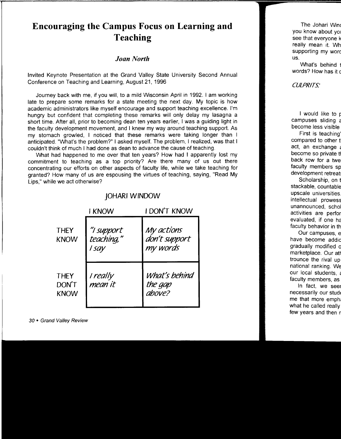# **Encouraging the Campus Focus on Learning and Teaching**

## *Joan North*

Invited Keynote Presentation at the Grand Valley State University Second Annual Conference on Teaching and Learning, August 21, 1996

Journey back with me, if you will, to a mild Wisconsin April in 1992. I am working late to prepare some remarks for a state meeting the next day. My topic is how academic administrators like myself encourage and support teaching excellence. I'm hungry but confident that completing these remarks will only delay my lasagna a short time. After all, prior to becoming dean ten years earlier, I was a guiding light in the faculty development movement, and I knew my way around teaching support. As my stomach growled, I noticed that these remarks were taking longer than I anticipated. "What's the problem?" I asked myself. The problem, I realized, was that I couldn't think of much I had done as dean to advance the cause of teaching.

What had happened to me over that ten years? How had I apparently lost my commitment to teaching as a top priority? Are there many of us out there concentrating our efforts on other aspects of faculty life, while we take teaching for granted? How many of us are espousing the virtues of teaching, saying, "Read My Lips," while we act otherwise?

|                                     | <b>I KNOW</b>                     | I DON'T KNOW                            |
|-------------------------------------|-----------------------------------|-----------------------------------------|
| <b>THEY</b><br><b>KNOW</b>          | "I support<br>teaching,"<br>I say | My actions<br>don't support<br>my words |
| <b>THEY</b><br>DON'T<br><b>KNOW</b> | I really<br>mean it               | What's behind<br>the gap<br>above?      |

## JOHARI WINDOW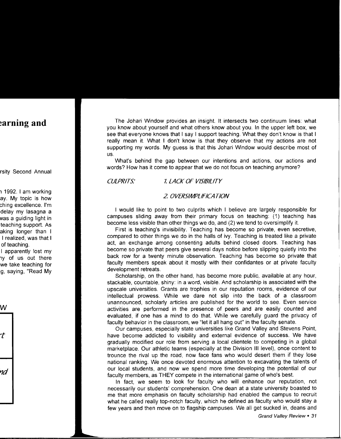The Johari Window provides an insight. It intersects two continuum lines: what you know about yourself and what others know about you. In the upper left box, we see that everyone knows that I say I support teaching. What they don't know is that I really mean it. What I don't know is that they observe that my actions are not supporting my words. My guess is that this Johari Window would describe most of US.

What's behind the gap between our intentions and actions, our actions and words? How has it come to appear that we do not focus on teaching anymore?

#### CULPRITS: 7. LACK OF VISIBILITY

#### 2 OVERSIMPLIFICATION

I would like to point to two culprits which I believe are largely responsible for campuses sliding away from their primary focus on teaching: (1) teaching has become less visible than other things we do, and (2) we tend to oversimplify it.

First is teaching's invisibility. Teaching has become so private, even secretive, compared to other things we do in the halls of ivy. Teaching is treated like a private act, an exchange among consenting adults behind closed doors. Teaching has become so private that peers give several days notice before slipping quietly into the back row for a twenty minute observation. Teaching has become so private that faculty members speak about it mostly with their confidantes or at private faculty development retreats.

Scholarship, on the other hand, has become more public, available at any hour, stackable, countable, shiny: in a word, visible. And scholarship is associated with the upscale universities. Grants are trophies in our reputation rooms, evidence of our intellectual prowess. While we dare not slip into the back of a classroom unannounced, scholarly articles are published for the world to see. Even service activities are performed in the presence of peers and are easily counted and evaluated, if one has a mind to do that. While we carefully guard the privacy of faculty behavior in the classroom, we "let it all hang out" in the faculty senate.

Our campuses, especially state universities like Grand Valley and Stevens Point, have become addicted to visibility and external evidence of success. We have gradually modified our role from serving a local clientele to competing in a global marketplace. Our athletic teams (especially at the Division Ill level), once content to trounce the rival up the road, now face fans who would desert them if they lose national ranking. We once devoted enormous attention to excavating the talents of our local students, and now we spend more time developing the potential of our faculty members, as THEY compete in the international game of who's best.

In fact, we seem to look for faculty who will enhance our reputation, not necessarily our students' comprehension. One dean at a state university boasted to me that more emphasis on faculty scholarship had enabled the campus to recruit what he called really top-notch faculty, which he defined as faculty who would stay a few years and then move on to flagship campuses. We all get sucked in, deans and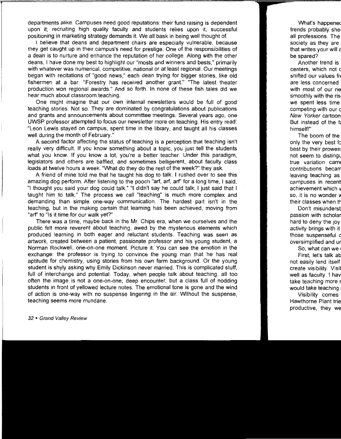departments alike. Campuses need good reputations: their fund raising is dependent upon it; recruiting high quality faculty and students relies upon it; successful positioning in marketing strategy demands it. We all bask in being well thought of.

I believe that deans and department chairs are especially vulnerable, because they get caught up in their campus's need for prestige. One of the responsibilities of a dean is to nurture and enhance the reputation of her college. Along with the other deans, I have done my best to highlight our "masts and winners and bests," primarily with whatever was numerical, competitive, national or at least regional. Our meetings began with recitations of "good news," each dean trying for bigger stories, like old fishermen at a bar. "Forestry has received another grant." "The latest theater production won regional awards." And so forth. In none of these fish tales did we hear much about classroom teaching.

One might imagine that our own internal newsletters would be full of good teaching stories. Not so. They are dominated by congratulations about publications and grants and announcements about committee meetings. Several years ago, one UWSP professor attempted to focus our newsletter more on teaching. His entry read: "Leon Lewis stayed on campus, spent time in the library, and taught all his classes well during the month of February."

A second factor affecting the status of teaching is a perception that teaching isn't really very difficult. If you know something about a topic, you just tell the students what you know. If you know a lot, you're a better teacher. Under this paradigm, legislators and others are baffled, and sometimes belligerent, about faculty class loads at twelve hours a week. "What do they do the rest of the week?" they ask.

A friend of mine told me that he taught his dog to talk. I rushed over to see this amazing dog perform. After listening to the pooch "art, art, arf' for a long time, I said, "I thought you said your dog could talk." "I didn't say he could talk; I just said that I taught him to talk." The process we call "teaching" is much more complex and demanding than simple one-way communication. The hardest part isn't in the teaching, but in the making certain that learning has been achieved, moving from "arf' to "Is it time for our walk yet?"

There was a time, maybe back in the Mr. Chips era, when we ourselves and the public felt more reverent about teaching, awed by the mysterious elements which produced learning in both eager and reluctant students. Teaching was seen as artwork, created between a patient, passionate professor and his young student, a Norman Rockwell, one-on-one moment. Picture it. You can see the emotion in the exchange: the professor is trying to convince the young man that he has real aptitude for chemistry, using stories from his own farm background. Or the young student is shyly asking why Emily Dickinson never married. This is complicated stuff, full of interchange and potential. Today, when people talk about teaching, all too often the image is not a one-on-one, deep encounter, but a class full of nodding students in front of yellowed lecture notes. The emotional tone is gone and the wind of action is one-way with no suspense lingering in the air. Without the suspense, teaching seems more mundane.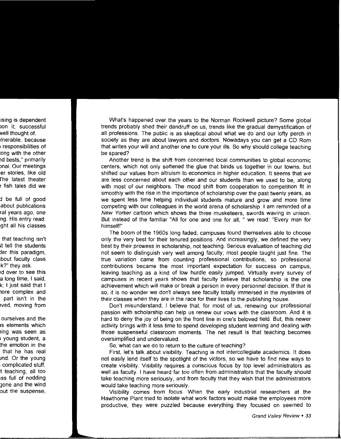What's happened over the years to the Norman Rockwell picture? Some global trends probably shed their dandruff on us, trends like the gradual demystification of all professions. The public is as skeptical about what we do and our lofty perch in society as they are about lawyers and doctors. Nowadays you can get a CD Rom that writes your will and another one to cure your ills. So why should college teaching be spared?

Another trend is the shift from concerned local communities to global economic centers, which not only softened the glue that binds us together in our towns, but shifted our values from altruism to economics in higher education. It seems that we are less concerned about each other and our students than we used to be, along with most of our neighbors. The mood shift from cooperation to competition fit in smoothly with the rise in the importance of scholarship over the past twenty years, as we spent less time helping individual students mature and grow and more time competing with our colleagues in the world arena of scholarship. I am reminded of a New Yorker cartoon which shows the three musketeers, swords waving in unison. But instead of the familiar "All for one and one for all, " we read: "Every man for himself!"

The boom of the 1960s long faded, campuses found themselves able to choose only the very best for their tenured positions. And increasingly, we defined the very best by their prowess in scholarship, not teaching. Serious evaluation of teaching did not seem to distinguish very well among faculty; most people taught just fine. The true variation came from counting professional contributions, so professional contributions became the most important expectation for success on campus, leaving teaching as a kind of low hurdle easily jumped. Virtually every survey of campuses in recent years shows that faculty believe that scholarship is the one achievement which will make or break a person in every personnel decision. If that is so, it is no wonder we don't always see faculty totally immersed in the mysteries of their classes when they are in the race for their lives to the publishing house.

Don't misunderstand; I believe that, for most of us, renewing our professional passion with scholarship can help us renew our vows with the classroom. And it is hard to deny the joy of being on the front line in one's beloved field. But, this newer activity brings with it less time to spend developing student learning and dealing with those suspenseful classroom moments. The net result is that teaching becomes oversimplified and undervalued.

So, what can we do to return to the culture of teaching?

First, let's talk about visibility. Teaching is not intercollegiate academics. It does not easily lend itself to the spotlight of the victors, so we have to find new ways to create visibility. Visibility requires a conscious focus by top level administrators as well as faculty. I have heard far too often from administrators that the faculty should take teaching more seriously, and from faculty that they wish that the administrators would take teaching more seriously.

Visibility comes from focus. When the early industrial researchers at the Hawthorne Plant tried to isolate what work factors would make the employees more productive, they were puzzled because everything they focused on seemed to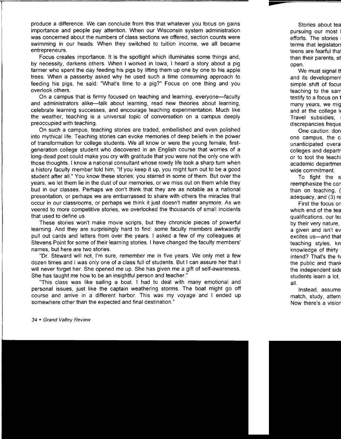produce a difference. We can conclude from this that whatever you focus on gains importance and people pay attention. When our Wisconsin system administration was concerned about the numbers of class sections we offered, section counts were swimming in our heads. When they switched to tuition income, we all became entrepreneurs.

Focus creates importance. It is the spotlight which illuminates some things and, by necessity, darkens others. When I worked in Iowa, I heard a story about a pig farmer who spent the day feeding his pigs by lifting them up one by one to his apple trees. When a passerby asked why he used such a time consuming approach to feeding his pigs, he said: "What's time to a pig?" Focus on one thing and you overlook others.

On a campus that is firmly focused on teaching and learning, everyone-faculty and administrators alike—talk about learning, read new theories about learning, celebrate learning successes, and encourage teaching experimentation. Much like the weather, teaching is a universal topic of conversation on a campus deeply preoccupied with teaching.

On such a campus, teaching stories are traded, embellished and even polished into mythical life. Teaching stories can evoke memories of deep beliefs in the power of transformation for college students. We all know or were the young female, firstgeneration college student who discovered in an English course that worries of a long-dead poet could make you cry with gratitude that you were not the only one with those thoughts. I know a national consultant whose rowdy life took a sharp turn when a history faculty member told him, "If you keep it up, you might turn out to be a good student after all." You know these stories; you starred in some of them. But over the years, we let them lie in the dust of our memories, or we miss out on them while they bud in our classes. Perhaps we don't think that they are as notable as a national presentation, or perhaps we are embarrassed to share with others the miracles that occur in our classrooms, or perhaps we think it just doesn't matter anymore. As we veered to more competitive stories, we overlooked the thousands of small incidents that used to define us.

These stories won't make movie scripts, but they chronicle pieces of powerful learning. And they are surprisingly hard to find: some faculty members awkwardly pull out cards and letters from over the years. I asked a few of my colleagues at Stevens Point for some of their learning stories. I have changed the faculty members' names, but here are two stories.

"Dr. Steward will not, I'm sure, remember me in five years. We only met a few dozen times and I was only one of a class full of students. But I can assure her that I will never forget her. She opened me up. She has given me a gift of self-awareness. She has taught me how to be an insightful person and teacher."

"This class was like sailing a boat. I had to deal with many emotional and personal issues, just like the captain weathering storms. The boat might go off course and arrive in a different harbor. This was my voyage and I ended up somewhere other than the expected and final destination."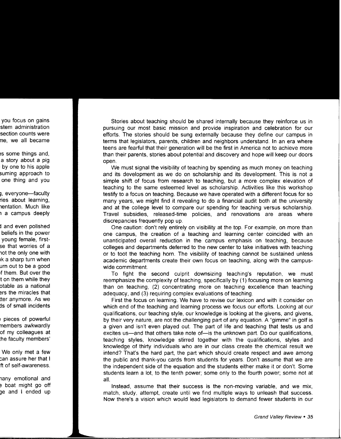Stories about teaching should be shared internally because they reinforce us in pursuing our most basic mission and provide inspiration and celebration for our efforts. The stories should be sung externally because they define our campus in terms that legislators, parents, children and neighbors understand. In an era where teens are fearful that their generation will be the first in America not to achieve more than their parents, stories about potential and discovery and hope will keep our doors open.

We must signal the visibility of teaching by spending as much money on teaching and its development as we do on scholarship and its development. This is not a simple shift of focus from research to teaching, but a more complex elevation of teaching to the same esteemed level as scholarship. Activities like this workshop testify to a focus on teaching. Because we have operated with a different focus for so many years, we might find it revealing to do a financial audit both at the university and at the college level to compare our spending for teaching versus scholarship. Travel subsidies, released-time policies, and renovations are areas where discrepancies frequently pop up.

One caution: don't rely entirely on visibility at the top. For example, on more than one campus, the creation of a teaching and learning center coincided with an unanticipated overall reduction in the campus emphasis on teaching, because colleges and departments deferred to the new center to take initiatives with teaching or to toot the teaching horn. The visibility of teaching cannot be sustained unless academic departments create their own focus on teaching, along with the campuswide commitment.

To fight the second culprit downsizing teaching's reputation, we must reemphasize the complexity of teaching, specifically by (1) focusing more on learning than on teaching, (2) concentrating more on teaching excellence than teaching adequacy, and (3) requiring complex evaluations of teaching.

First the focus on learning. We have to revise our lexicon and with it consider on which end of the teaching and learning process we focus our efforts. Looking at our qualifications, our teaching style, our knowledge is looking at the givens, and givens, by their very nature, are not the challenging part of any equation. A "gimme" in golf is a given and isn't even played out. The part of life and teaching that tests us and excites us—and that others take note of—is the unknown part. Do our qualifications, teaching styles, knowledge stirred together with the qualifications, styles and knowledge of thirty individuals who are in our class create the chemical result we intend? That's the hard part, the part which should create respect and awe among the public and thank-you cards from students for years. Don't assume that we are the independent side of the equation and the students either make it or don't. Some students learn a lot, to the tenth power; some only to the fourth power; some not at all.

Instead, assume that their success is the non-moving variable, and we mix, match, study, attempt, create until we find multiple ways to unleash that success. Now there's a vision which would lead legislators to demand fewer students in our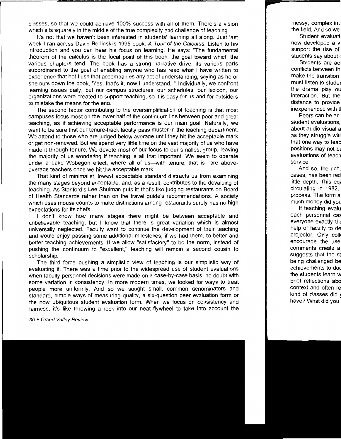classes, so that we could achieve 100% success with all of them. There's a vision which sits squarely in the middle of the true complexity and challenge of teaching.

It's not that we haven't been interested in students' learning all along. Just last week I ran across David Berlinski's 1995 book, A Tour of the Calculus. Listen to his introduction and you can hear his focus on learning. He says: "The fundamental theorem of the calculus is the focal point of this book, the goal toward which the various chapters tend. The book has a strong narrative drive, its various parts subordinated to the goal of enabling anyone who has read what I have written to experience that hot flush that accompanies any act of understanding, saying as he or she puts down the book, 'Yes, that's it, now I understand.'" Individually, we confront learning issues daily, but our campus structures, our schedules, our lexicon, our organizations were created to support teaching, so it is easy for us and for outsiders to mistake the means for the end.

The second factor contributing to the oversimplification of teaching is that most campuses focus most on the lower half of the continuum line between poor and great teaching, as if achieving acceptable performance is our main goal. Naturally, we want to be sure that our tenure-track faculty pass muster in the teaching department. We attend to those who are judged below average until they hit the acceptable mark or get non-renewed. But we spend very little time on the vast majority of us who have made it through tenure. We devote most of our focus to our smallest group, leaving the majority of us wondering if teaching is all that important. We seem to operate under a Lake Wobegon effect, where all of us—with tenure, that is—are aboveaverage teachers once we hit the acceptable mark.

That kind of minimalist, lowest acceptable standard distracts us from examining the many stages beyond acceptable, and, as a result, contributes to the devaluing of teaching. As Stanford's Lee Shulman puts it: that's like judging restaurants on Board of Health Standards rather than on the travel guide's recommendations. A society which uses mouse counts to make distinctions among restaurants surely has no high expectations for its chefs.

I don't know how many stages there might be between acceptable and unbelievable teaching, but I know that there is great variation which is almost universally neglected. Faculty want to continue the development of their teaching and would enjoy passing some additional milestones, if we had them, to better and better teaching achievements. If we allow "satisfactory" to be the norm, instead of pushing the continuum to "excellent," teaching will remain a second cousin to scholarship.

The third force pushing a simplistic view of teaching is our simplistic way of evaluating it. There was a time prior to the widespread use of student evaluations when faculty personnel decisions were made on a case-by-case basis, no doubt with some variation in consistency. In more modern times, we looked for ways to treat people more uniformly. And so we sought small, common denominators and standard, simple ways of measuring quality, a six-question peer evaluation form or the now ubiquitous student evaluation form. When we focus on consistency and fairness, it's like throwing a rock into our neat flywheel to take into account the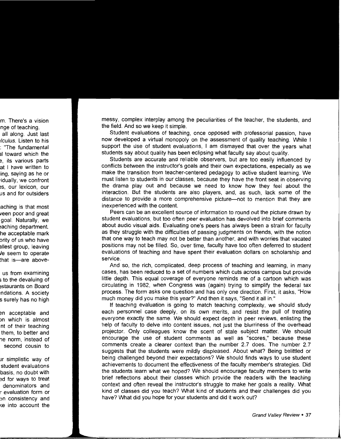messy, complex interplay among the peculiarities of the teacher, the students, and the field. And so we keep it simple.

Student evaluations of teaching, once opposed with professorial passion, have now developed a virtual monopoly on the assessment of quality teaching. While I support the use of student evaluations, I am dismayed that over the years what students say about quality has been eclipsing what faculty say about quality.

Students are accurate and reliable observers, but are too easily influenced by conflicts between the instructor's goals and their own expectations, especially as we make the transition from teacher-centered pedagogy to active student learning. We must listen to students in our classes, because they have the front seat in observing the drama play out and because we need to know how they feel about the interaction. But the students are also players, and, as such, lack some of the distance to provide a more comprehensive picture—not to mention that they are inexperienced with the content.

Peers can be an excellent source of information to round out the picture drawn by student evaluations, but too often peer evaluation has devolved into brief comments about audio visual aids. Evaluating one's peers has always been a strain for faculty as they struggle with the difficulties of passing judgments on friends, with the notion that one way to teach may not be better than another, and with worries that vacated positions may not be filled. So, over time, faculty have too often deferred to student evaluations of teaching and have spent their evaluation dollars on scholarship and service.

And so, the rich, complicated, deep process of teaching and learning, in many cases, has been reduced to a set of numbers which cuts across campus but provide little depth. This equal coverage of everyone reminds me of a cartoon which was circulating in 1982, when Congress was (again) trying to simplify the federal tax process. The form asks one question and has only one direction. First, it asks, "How much money did you make this year?" And then it says, "Send it all in."

If teaching evaluation is going to match teaching complexity, we should study each personnel case deeply, on its own merits, and resist the pull of treating everyone exactly the same. We should expect depth in peer reviews, enlisting the help of faculty to delve into content issues, not just the blurriness of the overhead projector. Only colleagues know the scent of stale subject matter. We should encourage the use of student comments as well as "scores," because these comments create a clearer context than the number 2.7 does. The number 2.7 suggests that the students were mildly displeased. About what? Being belittled or being challenged beyond their expectations? We should finds ways to use student achievements to document the effectiveness of the faculty member's strategies. Did the students learn what we hoped? We should encourage faculty members to write brief reflections about their classes which provide the readers with the teaching context and often reveal the instructor's struggle to make her goals a reality. What kind of classes did you teach? What kind of students and their challenges did you have? What did you hope for your students and did it work out?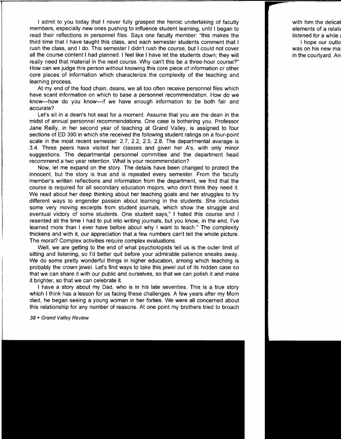I admit to you today that I never fully grasped the heroic undertaking of faculty members, especially new ones pushing to influence student learning, until I began to read their reflections in personnel files. Says one faculty member: "this makes the third time that I have taught this class, and each semester students comment that I rush the class, and I do. This semester I didn't rush the course, but I could not cover all the course content I had planned. I feel like I have let the students down; they will really need that material in the next course. Why can't this be a three-hour course?" How can we judge this person without knowing this core piece of information or other core pieces of information which characterize the complexity of the teaching and learning process.

At my end of the food chain, deans, we all too often receive personnel files which have scant information on which to base a personnel recommendation. How do we know-how do you know-if we have enough information to be both fair and accurate?

Let's sit in a dean's hot seat for a moment. Assume that you are the dean in the midst of annual personnel recommendations. One case is bothering you. Professor Jane Reilly, in her second year of teaching at Grand Valley, is assigned to four sections of ED 390 in which she received the following student ratings on a four-point scale in the most recent semester: 2.7, 2.2, 2.5, 2.8. The departmental average is 3.4. Three peers have visited her classes and given her A's, with only minor suggestions. The departmental personnel committee and the department head recommend a two year retention. What is your recommendation?

Now, let me expand on the story. The details have been changed to protect the innocent, but the story is true and is repeated every semester. From the faculty member's written reflections and information from the department, we find that the course is required for all secondary education majors, who don't think they need it. We read about her deep thinking about her teaching goals and her struggles to try different ways to engender passion about learning in the students. She includes some very moving excerpts from student journals, which show the struggle and eventual victory of some students. One student says," I hated this course and I resented all the time I had to put into writing journals, but you know, in the end, I've learned more than I ever have before about why I want to teach." The complexity thickens and with it, our appreciation that a few numbers can't tell the whole picture. The moral? Complex activities require complex evaluations.

Well, we are getting to the end of what psychologists tell us is the outer limit of sitting and listening, so I'd better quit before your admirable patience sneaks away. We do some pretty wonderful things in higher education, among which teaching is probably the crown jewel. Let's find ways to take this jewel out of its hidden case so that we can share it with our public and ourselves, so that we can polish it and make it brighter, so that we can celebrate it.

I have a story about my Dad, who is in his late seventies. This is a true story which I think has a lesson for us facing these challenges. A few years after my Mom died, he began seeing a young woman in her forties. We were all concerned about this relationship for any number of reasons. At one point my brothers tried to broach